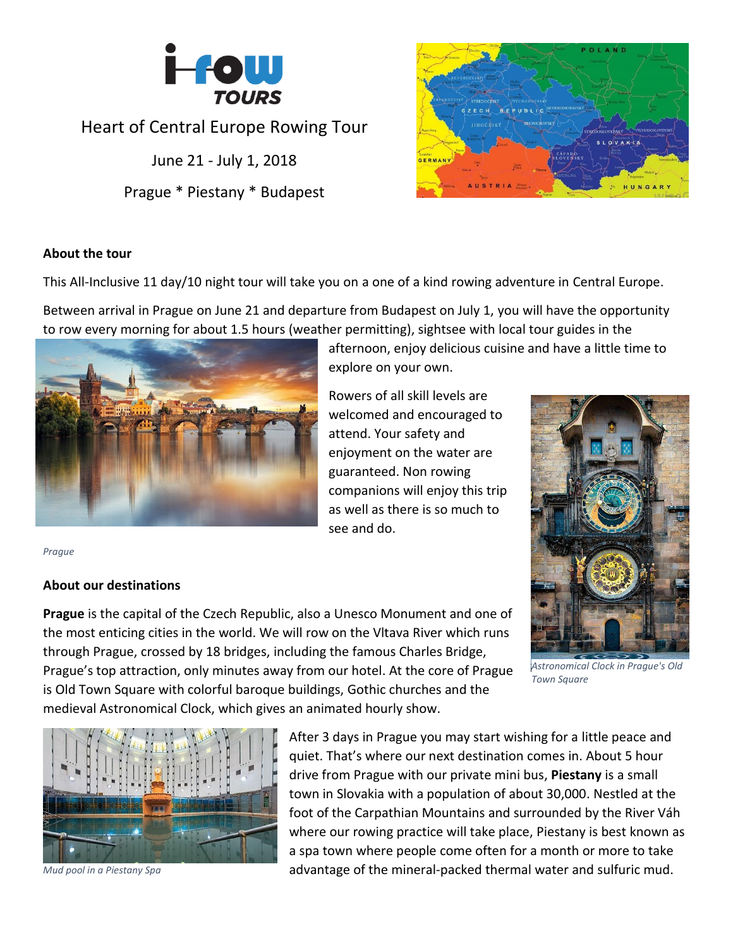

## Heart of Central Europe Rowing Tour

June 21 - July 1, 2018 Prague \* Piestany \* Budapest



## **About the tour**

This All-Inclusive 11 day/10 night tour will take you on a one of a kind rowing adventure in Central Europe.

Between arrival in Prague on June 21 and departure from Budapest on July 1, you will have the opportunity to row every morning for about 1.5 hours (weather permitting), sightsee with local tour guides in the



explore on your own.

afternoon, enjoy delicious cuisine and have a little time to

Rowers of all skill levels are welcomed and encouraged to attend. Your safety and enjoyment on the water are guaranteed. Non rowing companions will enjoy this trip as well as there is so much to see and do.



*Astronomical Clock in Prague's Old Town Square*

*Prague*

## **About our destinations**

**Prague** is the capital of the Czech Republic, also a Unesco Monument and one of the most enticing cities in the world. We will row on the Vltava River which runs through Prague, crossed by 18 bridges, including the famous Charles Bridge, Prague's top attraction, only minutes away from our hotel. At the core of Prague is Old Town Square with colorful baroque buildings, Gothic churches and the medieval Astronomical Clock, which gives an animated hourly show.



*Mud pool in a Piestany Spa*

After 3 days in Prague you may start wishing for a little peace and quiet. That's where our next destination comes in. About 5 hour drive from Prague with our private mini bus, **Piestany** is a small town in Slovakia with a population of about 30,000. Nestled at the foot of the Carpathian Mountains and surrounded by the River Váh where our rowing practice will take place, Piestany is best known as a spa town where people come often for a month or more to take advantage of the mineral-packed thermal water and sulfuric mud.